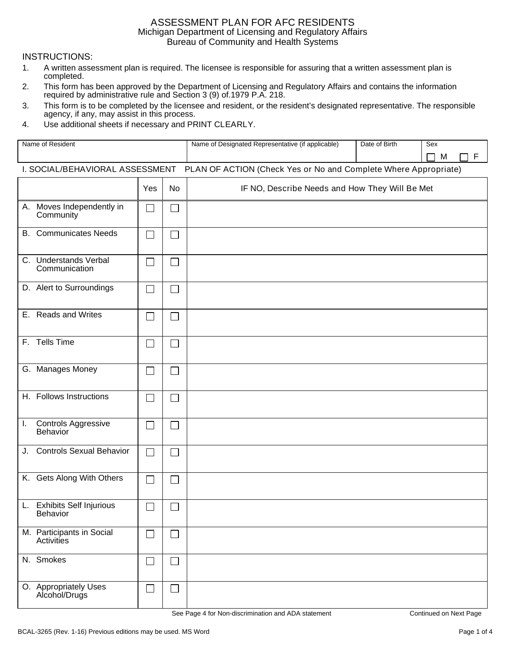### ASSESSMENT PLAN FOR AFC RESIDENTS Michigan Department of Licensing and Regulatory Affairs Bureau of Community and Health Systems

### **INSTRUCTIONS:**

- $1.$ A written assessment plan is required. The licensee is responsible for assuring that a written assessment plan is completed.
- $2.$ This form has been approved by the Department of Licensing and Regulatory Affairs and contains the information required by administrative rule and Section 3 (9) of 1979 P.A. 218.
- This form is to be completed by the licensee and resident, or the resident's designated representative. The responsible 3. agency, if any, may assist in this process.
- $\overline{4}$ . Use additional sheets if necessary and PRINT CLEARLY.

| Name of Resident                                                                                        |     | Name of Designated Representative (if applicable) | Date of Birth                                  | Sex<br>F<br>L. |  |  |
|---------------------------------------------------------------------------------------------------------|-----|---------------------------------------------------|------------------------------------------------|----------------|--|--|
| M<br>I. SOCIAL/BEHAVIORAL ASSESSMENT<br>PLAN OF ACTION (Check Yes or No and Complete Where Appropriate) |     |                                                   |                                                |                |  |  |
|                                                                                                         | Yes | <b>No</b>                                         | IF NO, Describe Needs and How They Will Be Met |                |  |  |
| A. Moves Independently in<br>Community                                                                  |     | $\Box$                                            |                                                |                |  |  |
| <b>B.</b> Communicates Needs                                                                            |     | $\Box$                                            |                                                |                |  |  |
| C. Understands Verbal<br>Communication                                                                  |     | $\Box$                                            |                                                |                |  |  |
| D. Alert to Surroundings                                                                                |     | $\sim$                                            |                                                |                |  |  |
| E. Reads and Writes                                                                                     |     | $\Box$                                            |                                                |                |  |  |
| F. Tells Time                                                                                           |     | $\Box$                                            |                                                |                |  |  |
| G. Manages Money                                                                                        |     | $\Box$                                            |                                                |                |  |  |
| H. Follows Instructions                                                                                 |     | $\mathcal{L}$                                     |                                                |                |  |  |
| <b>Controls Aggressive</b><br>$\mathbf{I}$ .<br>Behavior                                                |     | $\Box$                                            |                                                |                |  |  |
| <b>Controls Sexual Behavior</b><br>J.                                                                   |     | $\Box$                                            |                                                |                |  |  |
| K. Gets Along With Others                                                                               |     | $\Box$                                            |                                                |                |  |  |
| <b>Exhibits Self Injurious</b><br>L.<br>Behavior                                                        | ٮ   | ٮ                                                 |                                                |                |  |  |
| M. Participants in Social<br>Activities                                                                 |     | $\Box$                                            |                                                |                |  |  |
| N. Smokes                                                                                               |     | $\mathcal{L}_{\mathcal{A}}$                       |                                                |                |  |  |
| O. Appropriately Uses<br>Alcohol/Drugs                                                                  |     | $\Box$                                            |                                                |                |  |  |

See Page 4 for Non-discrimination and ADA statement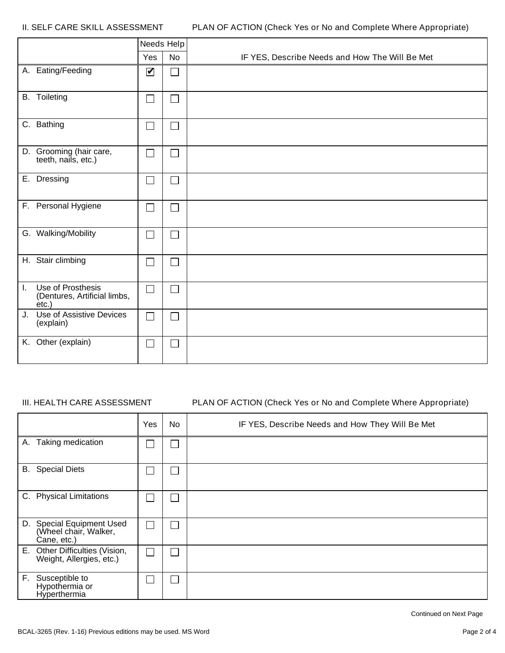II. SELF CARE SKILL ASSESSMENT

|              |                                                               | Needs Help                  |                             |                                                |
|--------------|---------------------------------------------------------------|-----------------------------|-----------------------------|------------------------------------------------|
|              |                                                               | Yes                         | <b>No</b>                   | IF YES, Describe Needs and How The Will Be Met |
|              | A. Eating/Feeding                                             | $\blacktriangledown$        | $\Box$                      |                                                |
|              | <b>B.</b> Toileting                                           | $\mathcal{L}_{\mathcal{A}}$ | $\Box$                      |                                                |
|              | C. Bathing                                                    | $\overline{\phantom{0}}$    | $\Box$                      |                                                |
|              | D. Grooming (hair care,<br>teeth, nails, etc.)                | $\Box$                      | $\Box$                      |                                                |
|              | E. Dressing                                                   | $\Box$                      | $\Box$                      |                                                |
|              | F. Personal Hygiene                                           | $\Box$                      | $\mathcal{L}$               |                                                |
|              | G. Walking/Mobility                                           | ٦                           | $\mathcal{L}_{\mathcal{A}}$ |                                                |
|              | H. Stair climbing                                             | $\Box$                      | $\Box$                      |                                                |
| $\mathbf{L}$ | Use of Prosthesis<br>(Dentures, Artificial limbs,<br>$etc.$ ) | $\mathcal{L}$               | ┑                           |                                                |
|              | J. Use of Assistive Devices<br>(explain)                      | $\mathbb{R}^n$              | $\sim$                      |                                                |
|              | K. Other (explain)                                            | $\sim$                      | $\sim$                      |                                                |

#### III. HEALTH CARE ASSESSMENT

#### PLAN OF ACTION (Check Yes or No and Complete Where Appropriate)

|                                                                   | Yes | No | IF YES, Describe Needs and How They Will Be Met |
|-------------------------------------------------------------------|-----|----|-------------------------------------------------|
| A. Taking medication                                              |     |    |                                                 |
| <b>B.</b> Special Diets                                           |     |    |                                                 |
| <b>Physical Limitations</b><br>C.                                 |     |    |                                                 |
| D. Special Equipment Used<br>(Wheel chair, Walker,<br>Cane, etc.) |     |    |                                                 |
| E. Other Difficulties (Vision,<br>Weight, Allergies, etc.)        |     |    |                                                 |
| F. Susceptible to<br>Hypothermia or<br>Hyperthermia               |     |    |                                                 |

Continued on Next Page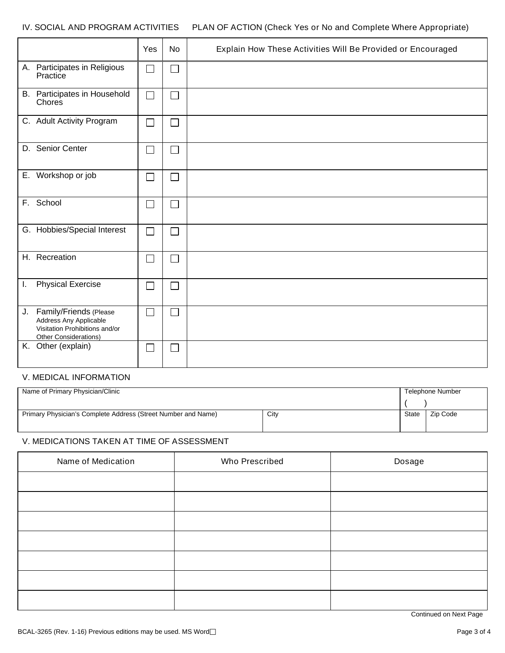#### IV. SOCIAL AND PROGRAM ACTIVITIES PLAN OF ACTION (Check Yes or No and Complete Where Appropriate)

|                                                                                                                | Yes            | <b>No</b> | Explain How These Activities Will Be Provided or Encouraged |
|----------------------------------------------------------------------------------------------------------------|----------------|-----------|-------------------------------------------------------------|
| A. Participates in Religious<br>Practice                                                                       | $\Box$         |           |                                                             |
| B. Participates in Household<br>Chores                                                                         | $\mathcal{L}$  |           |                                                             |
| C. Adult Activity Program                                                                                      | $\sim$ 1       |           |                                                             |
| D. Senior Center                                                                                               | $\blacksquare$ |           |                                                             |
| E. Workshop or job                                                                                             |                |           |                                                             |
| F. School                                                                                                      | $\blacksquare$ |           |                                                             |
| G. Hobbies/Special Interest                                                                                    | $\sim$         |           |                                                             |
| H. Recreation                                                                                                  | $\sim$         |           |                                                             |
| <b>Physical Exercise</b><br>L.                                                                                 |                |           |                                                             |
| J. Family/Friends (Please<br>Address Any Applicable<br>Visitation Prohibitions and/or<br>Other Considerations) |                |           |                                                             |
| K. Other (explain)                                                                                             | $\sim$         |           |                                                             |

## V. MEDICAL INFORMATION

| Name of Primary Physician/Clinic                              | Telephone Number |       |          |
|---------------------------------------------------------------|------------------|-------|----------|
|                                                               |                  |       |          |
| Primary Physician's Complete Address (Street Number and Name) | City             | State | Zip Code |

## V. MEDICATIONS TAKEN AT TIME OF ASSESSMENT

| Name of Medication | Who Prescribed | Dosage |
|--------------------|----------------|--------|
|                    |                |        |
|                    |                |        |
|                    |                |        |
|                    |                |        |
|                    |                |        |
|                    |                |        |
|                    |                |        |

Continued on Next Page